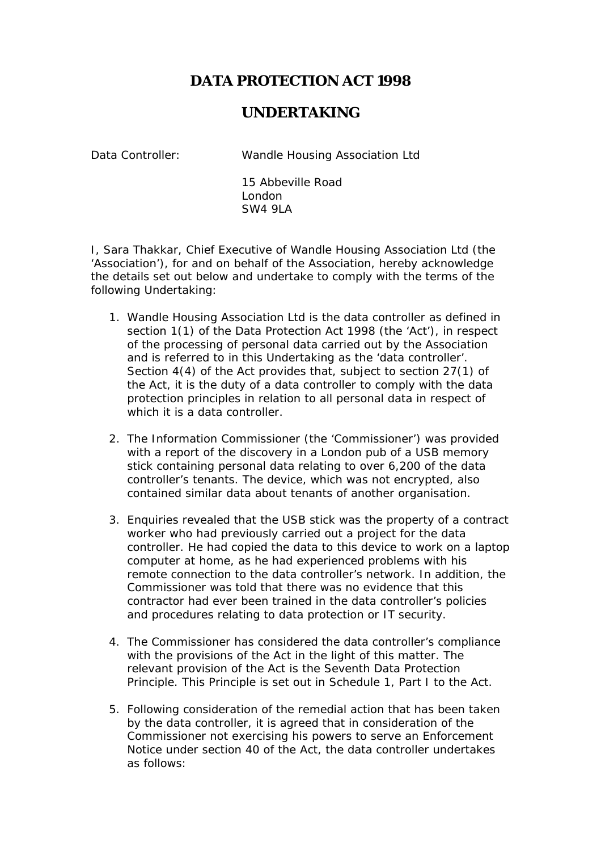## **DATA PROTECTION ACT 1998**

## **UNDERTAKING**

Data Controller: Wandle Housing Association Ltd

15 Abbeville Road London SW4 9LA

I, Sara Thakkar, Chief Executive of Wandle Housing Association Ltd (the 'Association'), for and on behalf of the Association, hereby acknowledge the details set out below and undertake to comply with the terms of the following Undertaking:

- 1. Wandle Housing Association Ltd is the data controller as defined in section 1(1) of the Data Protection Act 1998 (the 'Act'), in respect of the processing of personal data carried out by the Association and is referred to in this Undertaking as the 'data controller'. Section 4(4) of the Act provides that, subject to section 27(1) of the Act, it is the duty of a data controller to comply with the data protection principles in relation to all personal data in respect of which it is a data controller.
- 2. The Information Commissioner (the 'Commissioner') was provided with a report of the discovery in a London pub of a USB memory stick containing personal data relating to over 6,200 of the data controller's tenants. The device, which was not encrypted, also contained similar data about tenants of another organisation.
- 3. Enquiries revealed that the USB stick was the property of a contract worker who had previously carried out a project for the data controller. He had copied the data to this device to work on a laptop computer at home, as he had experienced problems with his remote connection to the data controller's network. In addition, the Commissioner was told that there was no evidence that this contractor had ever been trained in the data controller's policies and procedures relating to data protection or IT security.
- 4. The Commissioner has considered the data controller's compliance with the provisions of the Act in the light of this matter. The relevant provision of the Act is the Seventh Data Protection Principle. This Principle is set out in Schedule 1, Part I to the Act.
- 5. Following consideration of the remedial action that has been taken by the data controller, it is agreed that in consideration of the Commissioner not exercising his powers to serve an Enforcement Notice under section 40 of the Act, the data controller undertakes as follows: